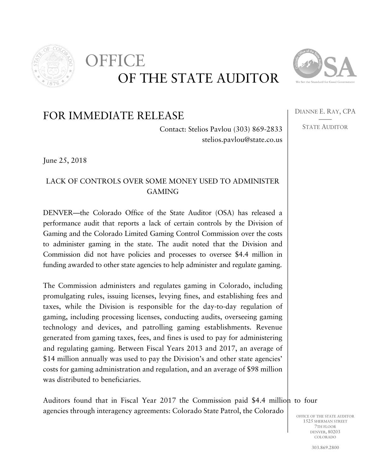

## OF THE STATE AUDITOR FFICE



DIANNE E. RAY, CPA —— STATE AUDITOR

## FOR IMMEDIATE RELEASE

Contact: Stelios Pavlou (303) 869-2833 stelios.pavlou@state.co.us

June 25, 2018

## LACK OF CONTROLS OVER SOME MONEY USED TO ADMINISTER GAMING

DENVER—the Colorado Office of the State Auditor (OSA) has released a performance audit that reports a lack of certain controls by the Division of Gaming and the Colorado Limited Gaming Control Commission over the costs to administer gaming in the state. The audit noted that the Division and Commission did not have policies and processes to oversee \$4.4 million in funding awarded to other state agencies to help administer and regulate gaming.

The Commission administers and regulates gaming in Colorado, including promulgating rules, issuing licenses, levying fines, and establishing fees and taxes, while the Division is responsible for the day-to-day regulation of gaming, including processing licenses, conducting audits, overseeing gaming technology and devices, and patrolling gaming establishments. Revenue generated from gaming taxes, fees, and fines is used to pay for administering and regulating gaming. Between Fiscal Years 2013 and 2017, an average of \$14 million annually was used to pay the Division's and other state agencies' costs for gaming administration and regulation, and an average of \$98 million was distributed to beneficiaries.

Auditors found that in Fiscal Year 2017 the Commission paid \$4.4 million to four agencies through interagency agreements: Colorado State Patrol, the Colorado

OFFICE OF THE STATE AUDITOR 1525 SHERMAN STREET 7TH FLOOR DENVER, 80203 COLORADO